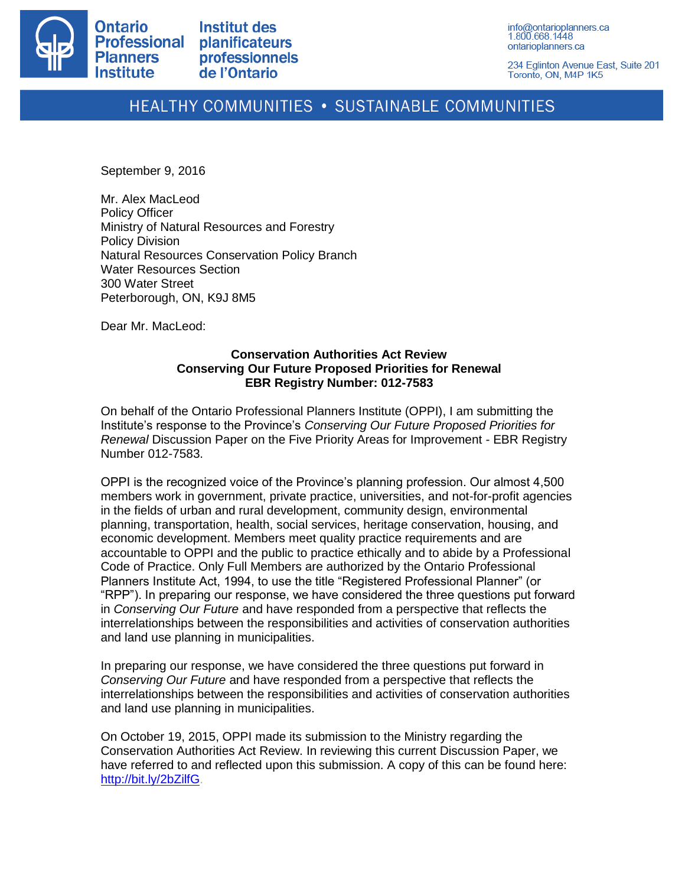

234 Eglinton Avenue East, Suite 201 Toronto, ON, M4P 1K5

# HEALTHY COMMUNITIES . SUSTAINABLE COMMUNITIES

September 9, 2016

Mr. Alex MacLeod Policy Officer Ministry of Natural Resources and Forestry Policy Division Natural Resources Conservation Policy Branch Water Resources Section 300 Water Street Peterborough, ON, K9J 8M5

Dear Mr. MacLeod:

# **Conservation Authorities Act Review Conserving Our Future Proposed Priorities for Renewal EBR Registry Number: 012-7583**

On behalf of the Ontario Professional Planners Institute (OPPI), I am submitting the Institute's response to the Province's *Conserving Our Future Proposed Priorities for Renewal* Discussion Paper on the Five Priority Areas for Improvement - EBR Registry Number 012-7583.

OPPI is the recognized voice of the Province's planning profession. Our almost 4,500 members work in government, private practice, universities, and not-for-profit agencies in the fields of urban and rural development, community design, environmental planning, transportation, health, social services, heritage conservation, housing, and economic development. Members meet quality practice requirements and are accountable to OPPI and the public to practice ethically and to abide by a Professional Code of Practice. Only Full Members are authorized by the Ontario Professional Planners Institute Act, 1994, to use the title "Registered Professional Planner" (or "RPP"). In preparing our response, we have considered the three questions put forward in *Conserving Our Future* and have responded from a perspective that reflects the interrelationships between the responsibilities and activities of conservation authorities and land use planning in municipalities.

In preparing our response, we have considered the three questions put forward in *Conserving Our Future* and have responded from a perspective that reflects the interrelationships between the responsibilities and activities of conservation authorities and land use planning in municipalities.

On October 19, 2015, OPPI made its submission to the Ministry regarding the Conservation Authorities Act Review. In reviewing this current Discussion Paper, we have referred to and reflected upon this submission. A copy of this can be found here: [http://bit.ly/2bZilfG.](http://bit.ly/2bZilfG)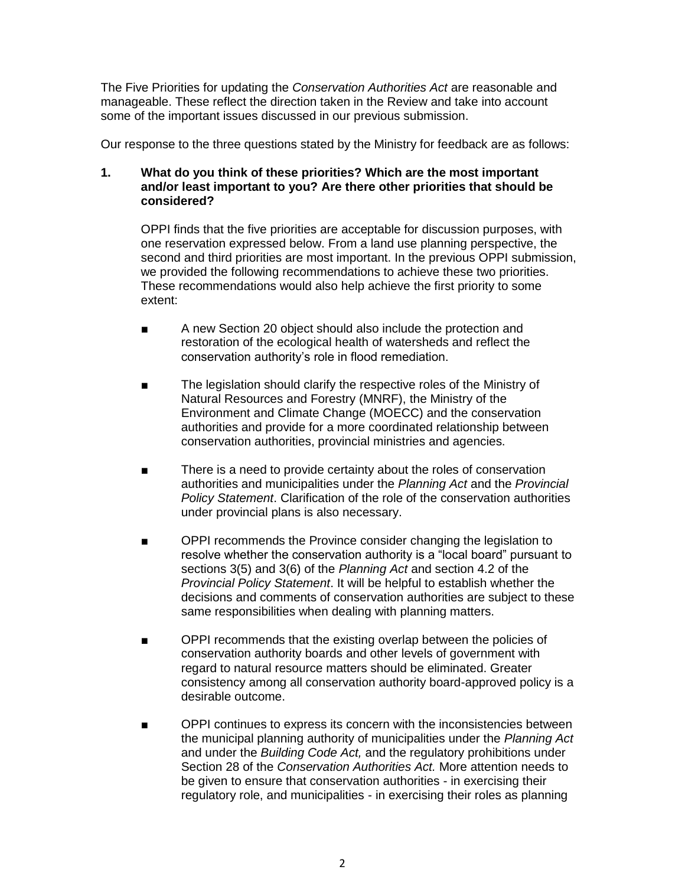The Five Priorities for updating the *Conservation Authorities Act* are reasonable and manageable. These reflect the direction taken in the Review and take into account some of the important issues discussed in our previous submission.

Our response to the three questions stated by the Ministry for feedback are as follows:

# **1. What do you think of these priorities? Which are the most important and/or least important to you? Are there other priorities that should be considered?**

OPPI finds that the five priorities are acceptable for discussion purposes, with one reservation expressed below. From a land use planning perspective, the second and third priorities are most important. In the previous OPPI submission, we provided the following recommendations to achieve these two priorities. These recommendations would also help achieve the first priority to some extent:

- A new Section 20 object should also include the protection and restoration of the ecological health of watersheds and reflect the conservation authority's role in flood remediation.
- The legislation should clarify the respective roles of the Ministry of Natural Resources and Forestry (MNRF), the Ministry of the Environment and Climate Change (MOECC) and the conservation authorities and provide for a more coordinated relationship between conservation authorities, provincial ministries and agencies.
- There is a need to provide certainty about the roles of conservation authorities and municipalities under the *Planning Act* and the *Provincial Policy Statement*. Clarification of the role of the conservation authorities under provincial plans is also necessary.
- OPPI recommends the Province consider changing the legislation to resolve whether the conservation authority is a "local board" pursuant to sections 3(5) and 3(6) of the *Planning Act* and section 4.2 of the *Provincial Policy Statement*. It will be helpful to establish whether the decisions and comments of conservation authorities are subject to these same responsibilities when dealing with planning matters.
- OPPI recommends that the existing overlap between the policies of conservation authority boards and other levels of government with regard to natural resource matters should be eliminated. Greater consistency among all conservation authority board-approved policy is a desirable outcome.
- OPPI continues to express its concern with the inconsistencies between the municipal planning authority of municipalities under the *Planning Act* and under the *Building Code Act,* and the regulatory prohibitions under Section 28 of the *Conservation Authorities Act.* More attention needs to be given to ensure that conservation authorities - in exercising their regulatory role, and municipalities - in exercising their roles as planning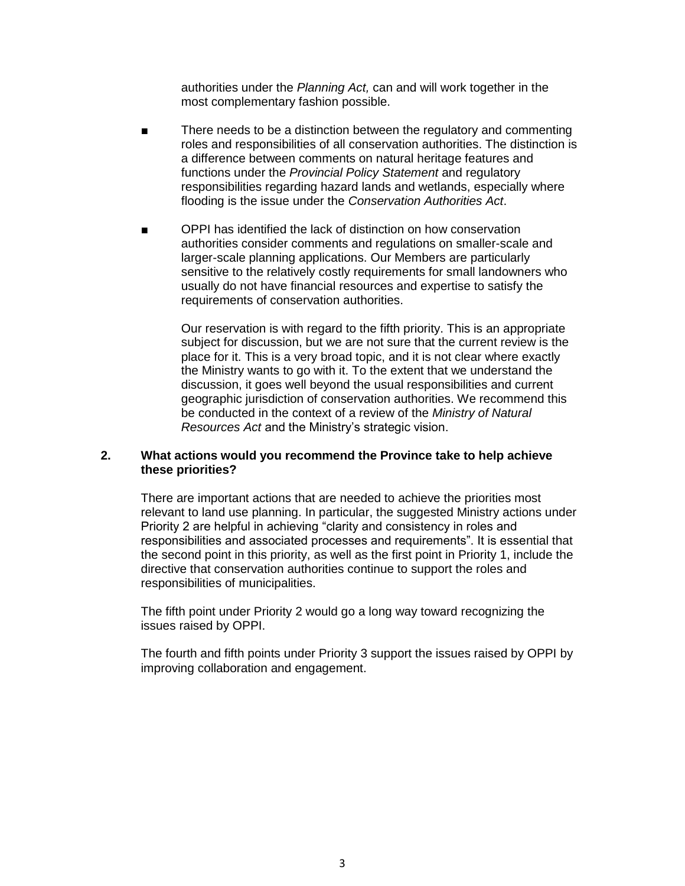authorities under the *Planning Act,* can and will work together in the most complementary fashion possible.

- There needs to be a distinction between the regulatory and commenting roles and responsibilities of all conservation authorities. The distinction is a difference between comments on natural heritage features and functions under the *Provincial Policy Statement* and regulatory responsibilities regarding hazard lands and wetlands, especially where flooding is the issue under the *Conservation Authorities Act*.
- OPPI has identified the lack of distinction on how conservation authorities consider comments and regulations on smaller-scale and larger-scale planning applications. Our Members are particularly sensitive to the relatively costly requirements for small landowners who usually do not have financial resources and expertise to satisfy the requirements of conservation authorities.

Our reservation is with regard to the fifth priority. This is an appropriate subject for discussion, but we are not sure that the current review is the place for it. This is a very broad topic, and it is not clear where exactly the Ministry wants to go with it. To the extent that we understand the discussion, it goes well beyond the usual responsibilities and current geographic jurisdiction of conservation authorities. We recommend this be conducted in the context of a review of the *Ministry of Natural Resources Act* and the Ministry's strategic vision.

# **2. What actions would you recommend the Province take to help achieve these priorities?**

There are important actions that are needed to achieve the priorities most relevant to land use planning. In particular, the suggested Ministry actions under Priority 2 are helpful in achieving "clarity and consistency in roles and responsibilities and associated processes and requirements". It is essential that the second point in this priority, as well as the first point in Priority 1, include the directive that conservation authorities continue to support the roles and responsibilities of municipalities.

The fifth point under Priority 2 would go a long way toward recognizing the issues raised by OPPI.

The fourth and fifth points under Priority 3 support the issues raised by OPPI by improving collaboration and engagement.